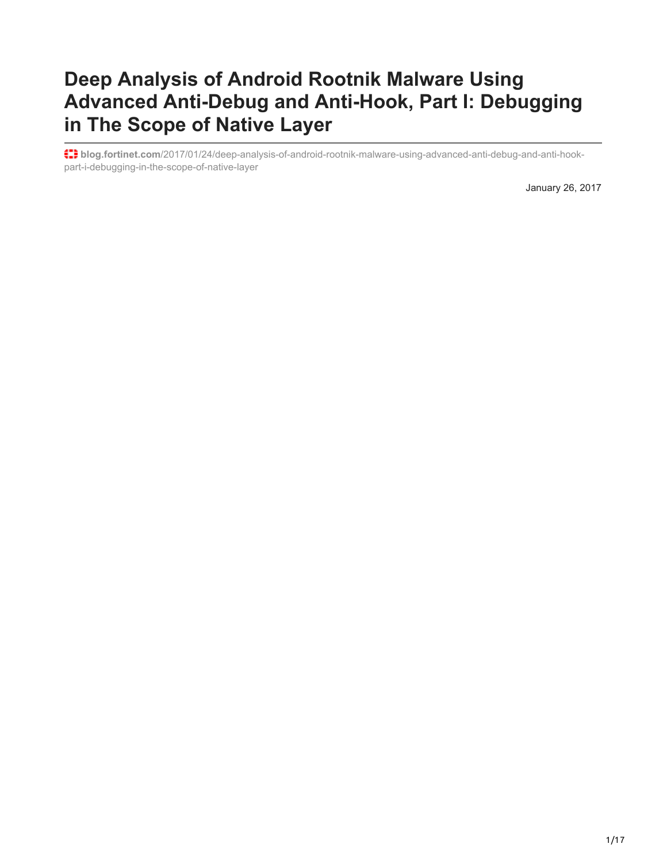# **Deep Analysis of Android Rootnik Malware Using Advanced Anti-Debug and Anti-Hook, Part I: Debugging in The Scope of Native Layer**

**blog.fortinet.com**[/2017/01/24/deep-analysis-of-android-rootnik-malware-using-advanced-anti-debug-and-anti-hook](https://blog.fortinet.com/2017/01/24/deep-analysis-of-android-rootnik-malware-using-advanced-anti-debug-and-anti-hook-part-i-debugging-in-the-scope-of-native-layer)part-i-debugging-in-the-scope-of-native-layer

January 26, 2017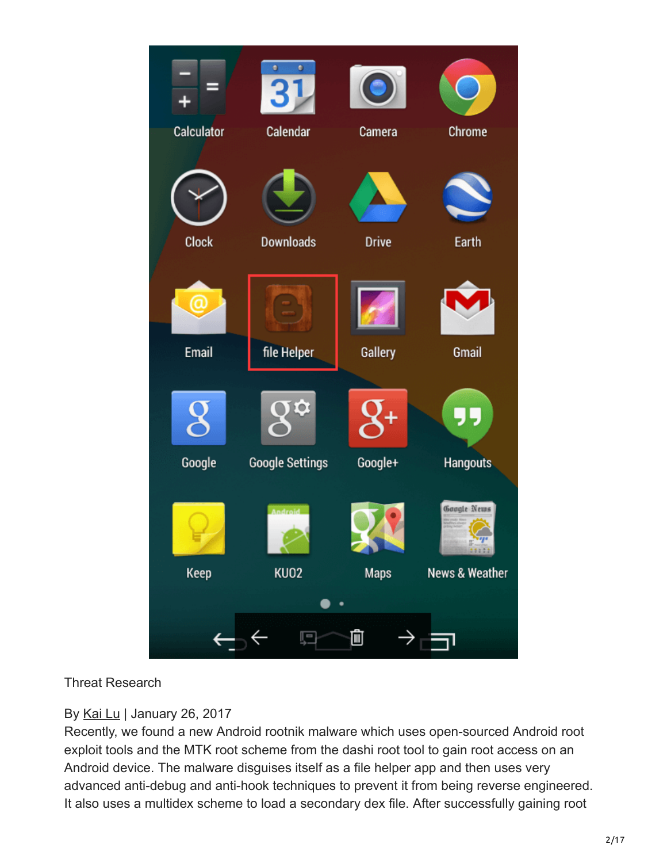

### Threat Research

## By [Kai Lu](https://blog.fortinet.com/blog/search?author=Kai+Lu) | January 26, 2017

Recently, we found a new Android rootnik malware which uses open-sourced Android root exploit tools and the MTK root scheme from the dashi root tool to gain root access on an Android device. The malware disguises itself as a file helper app and then uses very advanced anti-debug and anti-hook techniques to prevent it from being reverse engineered. It also uses a multidex scheme to load a secondary dex file. After successfully gaining root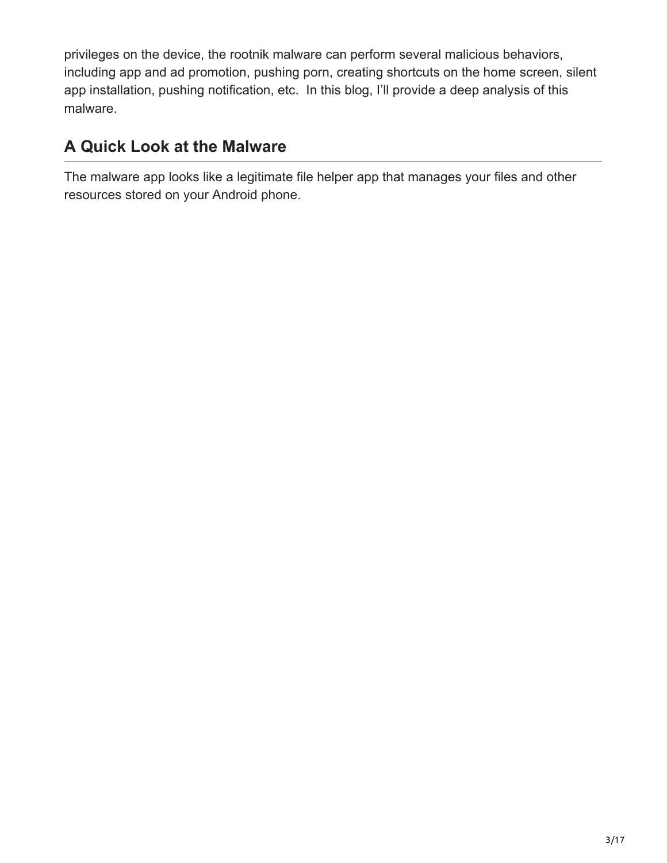privileges on the device, the rootnik malware can perform several malicious behaviors, including app and ad promotion, pushing porn, creating shortcuts on the home screen, silent app installation, pushing notification, etc. In this blog, I'll provide a deep analysis of this malware.

# **A Quick Look at the Malware**

The malware app looks like a legitimate file helper app that manages your files and other resources stored on your Android phone.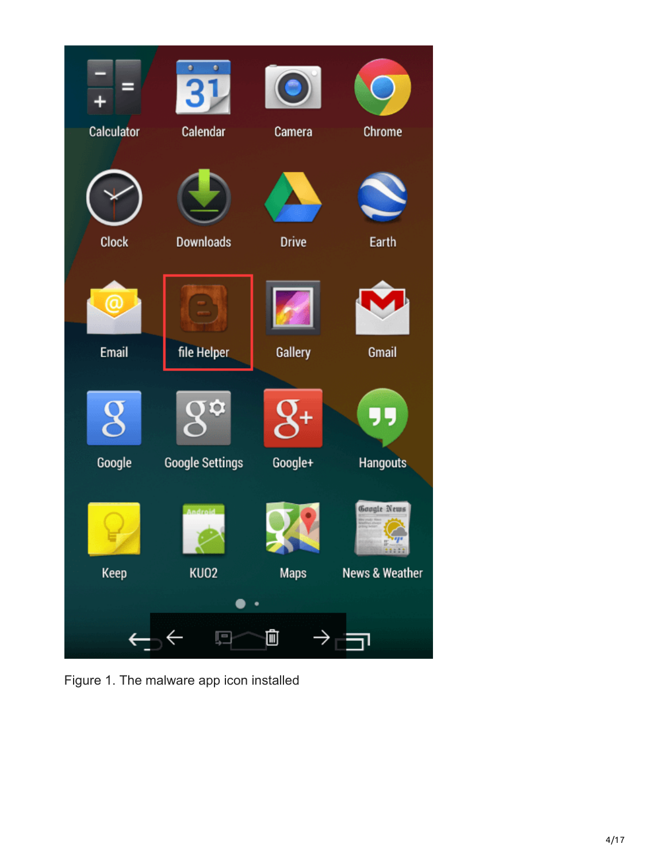

Figure 1. The malware app icon installed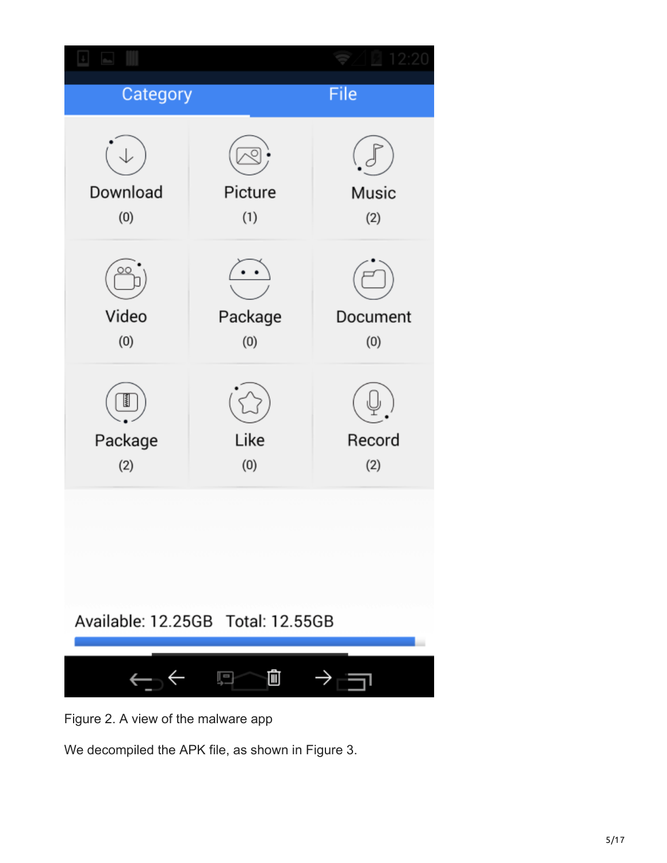

Figure 2. A view of the malware app

We decompiled the APK file, as shown in Figure 3.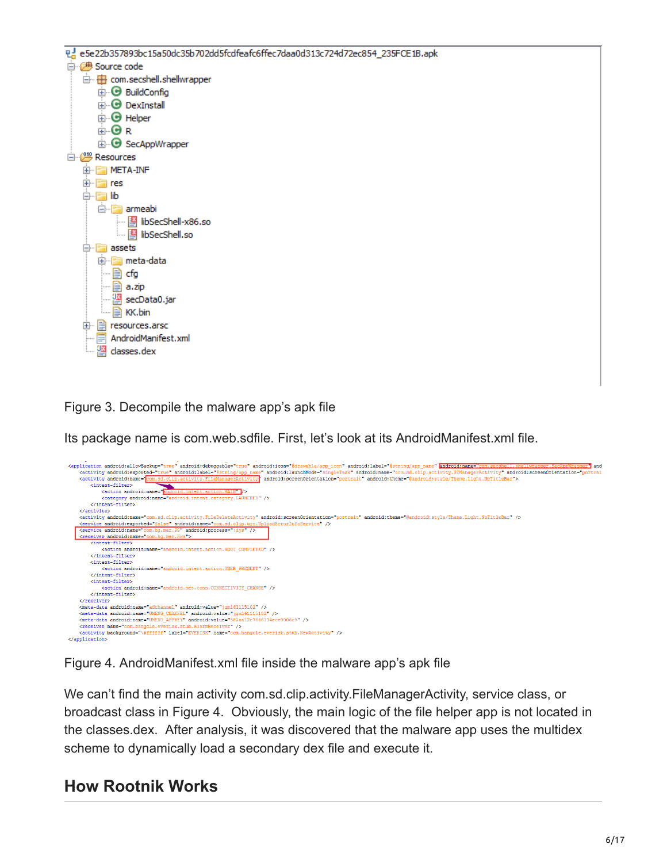| 민급 e5e22b357893bc15a50dc35b702dd5fcdfeafc6ffec7daa0d313c724d72ec854_235FCE1B.apk |
|----------------------------------------------------------------------------------|
| 白 <del>伊</del> Source code                                                       |
| □ H com.secshell.shellwrapper                                                    |
| <b>E</b> BuildConfig                                                             |
| <b>E</b> -O DexInstall                                                           |
| <b>E</b> Helper                                                                  |
| ⊞∙® r                                                                            |
| <b>E</b> SecAppWrapper                                                           |
| 白 <i>『 『</i> Resources                                                           |
| <b>THE META-INF</b><br>[∓]…                                                      |
| ஈ⊢<br>and res                                                                    |
|                                                                                  |
| lib<br>⊟…                                                                        |
| ⊟ <sup></sup> F <sup>=</sup> armeabi                                             |
| libSecShell-x86.so                                                               |
| <b>E</b> libSecShell.so                                                          |
| $\equiv$ assets                                                                  |
| 国·图 meta-data                                                                    |
| l…∥≣ìcfg                                                                         |
| …   <b>≣)</b> a.zip                                                              |
| --- 图 secData0.jar                                                               |
| <b>E</b> KK.bin                                                                  |
| 由   resources.arsc                                                               |
| AndroidManifest.xml                                                              |
| <b>Logical</b> classes.dex                                                       |
|                                                                                  |
|                                                                                  |

Figure 3. Decompile the malware app's apk file

Its package name is com.web.sdfile. First, let's look at its AndroidManifest.xml file.



Figure 4. AndroidManifest.xml file inside the malware app's apk file

We can't find the main activity com.sd.clip.activity.FileManagerActivity, service class, or broadcast class in Figure 4. Obviously, the main logic of the file helper app is not located in the classes.dex. After analysis, it was discovered that the malware app uses the multidex scheme to dynamically load a secondary dex file and execute it.

# **How Rootnik Works**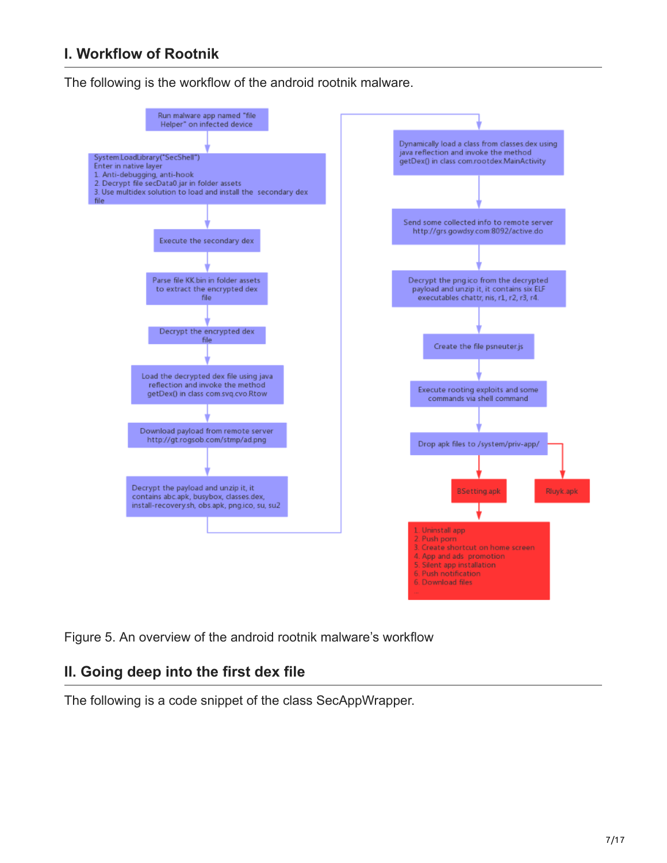## **I. Workflow of Rootnik**

The following is the workflow of the android rootnik malware.



Figure 5. An overview of the android rootnik malware's workflow

### **II. Going deep into the first dex file**

The following is a code snippet of the class SecAppWrapper.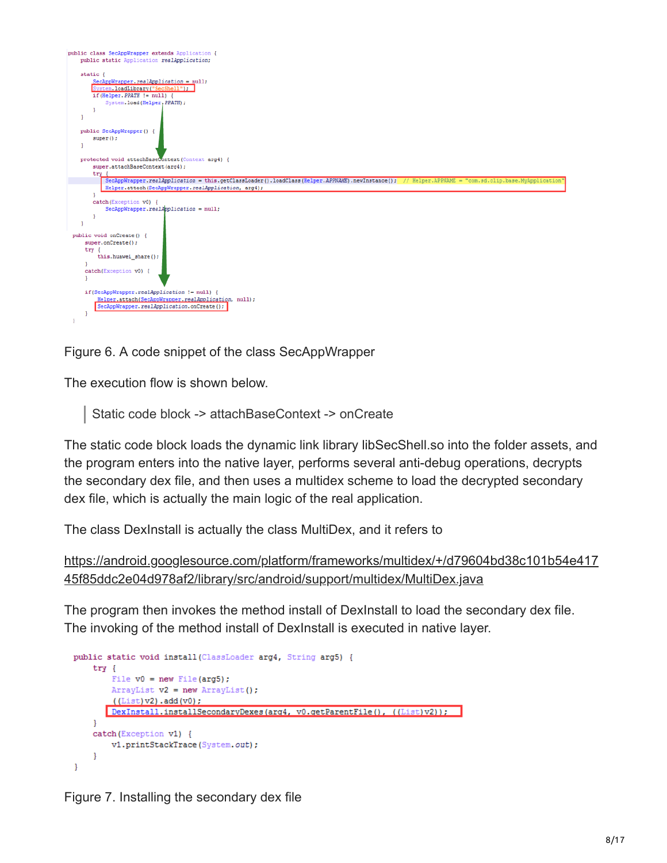

Figure 6. A code snippet of the class SecAppWrapper

The execution flow is shown below.

Static code block -> attachBaseContext -> onCreate

The static code block loads the dynamic link library libSecShell.so into the folder assets, and the program enters into the native layer, performs several anti-debug operations, decrypts the secondary dex file, and then uses a multidex scheme to load the decrypted secondary dex file, which is actually the main logic of the real application.

The class DexInstall is actually the class MultiDex, and it refers to

```
https://android.googlesource.com/platform/frameworks/multidex/+/d79604bd38c101b54e417
45f85ddc2e04d978af2/library/src/android/support/multidex/MultiDex.java
```
The program then invokes the method install of DexInstall to load the secondary dex file. The invoking of the method install of DexInstall is executed in native layer.

```
public static void install (ClassLoader arg4, String arg5) {
   try {
        File v0 = new File(arg5);
        ArrayList v2 = new ArrayList();
        ((List)v2).add(v0);DexInstall.installSecondaryDexes(arg4, v0.getParentFile(), ((List)v2));
   \mathbf{1}catch (Exception v1) {
       v1.printStackTrace(System.out);
    ŀ
}
```
Figure 7. Installing the secondary dex file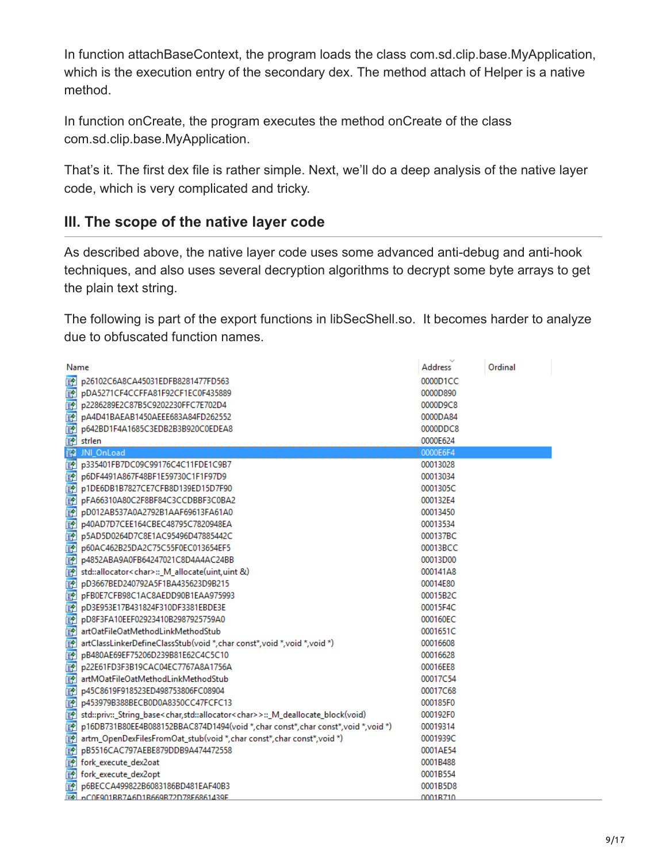In function attachBaseContext, the program loads the class com.sd.clip.base.MyApplication, which is the execution entry of the secondary dex. The method attach of Helper is a native method.

In function onCreate, the program executes the method onCreate of the class com.sd.clip.base.MyApplication.

That's it. The first dex file is rather simple. Next, we'll do a deep analysis of the native layer code, which is very complicated and tricky.

## **III. The scope of the native layer code**

As described above, the native layer code uses some advanced anti-debug and anti-hook techniques, and also uses several decryption algorithms to decrypt some byte arrays to get the plain text string.

The following is part of the export functions in libSecShell.so. It becomes harder to analyze due to obfuscated function names.

|   | Name                                                                                                         | Address  | Ordinal |  |
|---|--------------------------------------------------------------------------------------------------------------|----------|---------|--|
| 國 | p26102C6A8CA45031EDFB8281477FD563                                                                            | 0000D1CC |         |  |
| 國 | pDA5271CF4CCFFA81F92CF1EC0F435889                                                                            | 0000D890 |         |  |
| 國 | p2286289E2C87B5C9202230FFC7E702D4                                                                            | 0000D9C8 |         |  |
| 國 | pA4D41BAEAB1450AEEE683A84FD262552                                                                            | 0000DA84 |         |  |
| 國 | p642BD1F4A1685C3EDB2B3B920C0EDEA8                                                                            | 0000DDC8 |         |  |
| 國 | strlen                                                                                                       | 0000E624 |         |  |
| 國 | JNI OnLoad                                                                                                   | 0000E6F4 |         |  |
| 國 | p335401FB7DC09C99176C4C11FDE1C9B7                                                                            | 00013028 |         |  |
| 國 | p6DF4491A867F48BF1E59730C1F1F97D9                                                                            | 00013034 |         |  |
| 國 | p1DE6DB1B7827CE7CFB8D139ED15D7F90                                                                            | 0001305C |         |  |
| 國 | pFA66310A80C2F8BF84C3CCDBBF3C0BA2                                                                            | 000132E4 |         |  |
| 國 | pD012AB537A0A2792B1AAF69613FA61A0                                                                            | 00013450 |         |  |
| 國 | p40AD7D7CEE164CBEC48795C7820948EA                                                                            | 00013534 |         |  |
| 國 | p5AD5D0264D7C8E1AC95496D47885442C                                                                            | 000137BC |         |  |
| 國 | p60AC462B25DA2C75C55F0EC013654EF5                                                                            | 00013BCC |         |  |
| 國 | p4852ABA9A0FB64247021C8D4A4AC24BB                                                                            | 00013D00 |         |  |
| 國 | std::allocator <char>::_M_allocate(uint,uint &amp;)</char>                                                   | 000141A8 |         |  |
| 國 | pD3667BED240792A5F1BA435623D9B215                                                                            | 00014E80 |         |  |
| 國 | pFB0E7CFB98C1AC8AEDD90B1EAA975993                                                                            | 00015B2C |         |  |
| 國 | pD3E953E17B431824F310DF3381EBDE3E                                                                            | 00015F4C |         |  |
| 國 | pD8F3FA10EEF02923410B2987925759A0                                                                            | 000160EC |         |  |
| 國 | artOatFileOatMethodLinkMethodStub                                                                            | 0001651C |         |  |
| 國 | artClassLinkerDefineClassStub(void *, char const*, void *, void *, void *)                                   | 00016608 |         |  |
| 國 | pB480AE69EF75206D239B81E62C4C5C10                                                                            | 00016628 |         |  |
| 國 | p22E61FD3F3B19CAC04EC7767A8A1756A                                                                            | 00016EE8 |         |  |
| 國 | artMOatFileOatMethodLinkMethodStub                                                                           | 00017C54 |         |  |
| 國 | p45C8619F918523ED498753806FC08904                                                                            | 00017C68 |         |  |
| 國 | p453979B388BECB0D0A8350CC47FCFC13                                                                            | 000185F0 |         |  |
| 國 | std::priv::_String_base <char,std::allocator<char>&gt;::_M_deallocate_block(void)</char,std::allocator<char> | 000192F0 |         |  |
| 國 | p16DB731B80EE4B088152BBAC874D1494(void *, char const*, char const*, void *, void *)                          | 00019314 |         |  |
| 國 | artm_OpenDexFilesFromOat_stub(void *, char const*, char const*, void *)                                      | 0001939C |         |  |
| 國 | pB5516CAC797AEBE879DDB9A474472558                                                                            | 0001AE54 |         |  |
| 國 | fork execute dex2oat                                                                                         | 0001B488 |         |  |
| 國 | fork execute dex2opt                                                                                         | 0001B554 |         |  |
| 國 | p6BECCA499822B6083186BD481EAF40B3                                                                            | 0001B5D8 |         |  |
|   | EN nC0E901RR7A6D1R669R72D78E6861439E                                                                         | 0001B710 |         |  |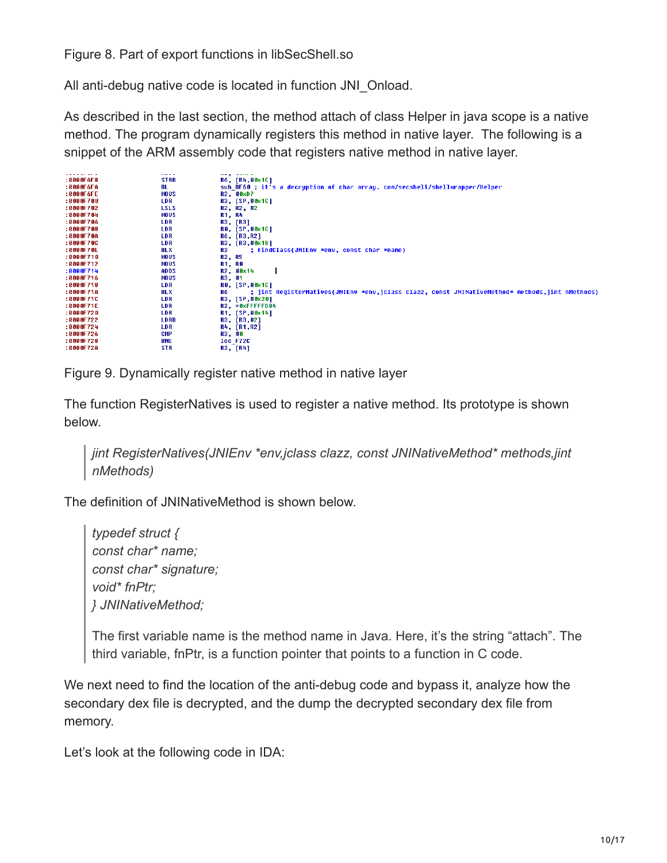Figure 8. Part of export functions in libSecShell.so

All anti-debug native code is located in function JNI\_Onload.

As described in the last section, the method attach of class Helper in java scope is a native method. The program dynamically registers this method in native layer. The following is a snippet of the ARM assembly code that registers native method in native layer.

| <b></b>     | بالمتمام وسيد                                                                                         |
|-------------|-------------------------------------------------------------------------------------------------------|
| <b>STRB</b> | R6, [R4,#0x1C]                                                                                        |
| BL          | sub BF60 ; it's a decruption of char array. com/secshell/shellwrapper/Helper                          |
| <b>MOUS</b> | R2, #0xD7                                                                                             |
| LDR         | R3, [SP,#0x1C]                                                                                        |
| <b>LSLS</b> | R2, R2, #2                                                                                            |
| <b>MOUS</b> | R1, R4                                                                                                |
| LDR         | R3, [R3]                                                                                              |
| LDR         | <b>RO, [SP,#0x1C]</b>                                                                                 |
| LDR         | R6, [R3, R2]                                                                                          |
| LDR         | R3, [R3,#0x18]                                                                                        |
| BLX         | ; findClass(JNIEnv *env, const char *name)<br>R3                                                      |
| <b>MOUS</b> | R2, R5                                                                                                |
| <b>MOUS</b> | <b>R1, R0</b>                                                                                         |
| <b>ADDS</b> | R2, #0x14                                                                                             |
| MOUS        | R3, #1                                                                                                |
| LDR         | <b>RO, [SP,#0x1C]</b>                                                                                 |
| <b>BLX</b>  | ; jint ReqisterNatives(JNIEnv *env,jclass clazz, const JNINativeMethod* methods,jint nMethods)<br>R6. |
| <b>LDR</b>  | R3, [SP,#0x20]                                                                                        |
| LDR         | $R2$ , $= 0x$ FFFFFD84                                                                                |
| LDR         | R1, [SP,#0x14]                                                                                        |
| LDRB        | R3, [R3,#2]                                                                                           |
| LDR         | R4, [R1, R2]                                                                                          |
| CMP         | R3, #0                                                                                                |
| <b>BNE</b>  | 1oc_F72C                                                                                              |
| <b>STR</b>  | R3, [R4]                                                                                              |
|             |                                                                                                       |

Figure 9. Dynamically register native method in native layer

The function RegisterNatives is used to register a native method. Its prototype is shown below.

*jint RegisterNatives(JNIEnv \*env,jclass clazz, const JNINativeMethod\* methods,jint nMethods)*

The definition of JNINativeMethod is shown below.

*typedef struct { const char\* name; const char\* signature; void\* fnPtr; } JNINativeMethod;*

The first variable name is the method name in Java. Here, it's the string "attach". The third variable, fnPtr, is a function pointer that points to a function in C code.

We next need to find the location of the anti-debug code and bypass it, analyze how the secondary dex file is decrypted, and the dump the decrypted secondary dex file from memory.

Let's look at the following code in IDA: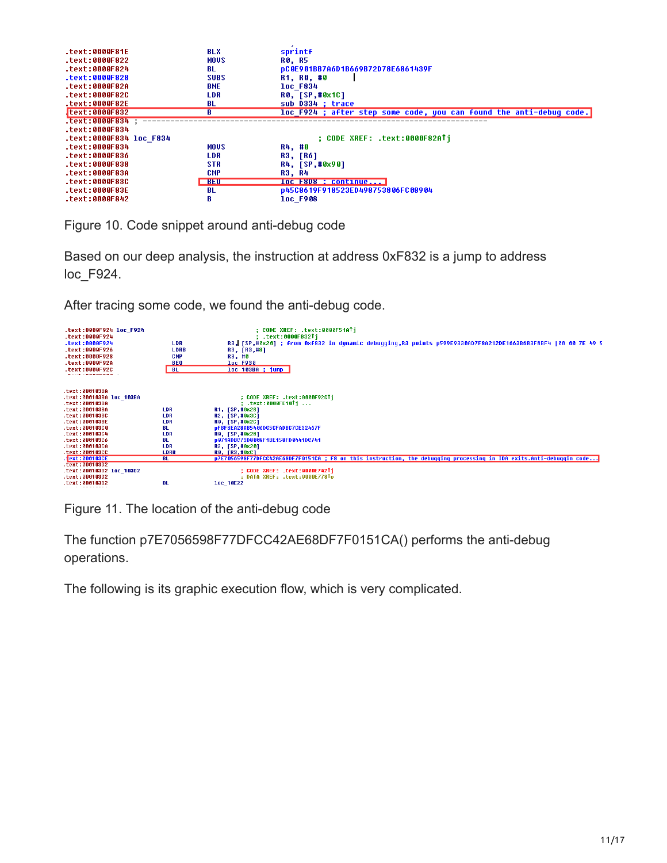| .text:0000F81E          | <b>BLX</b>  | sprintf                                                             |
|-------------------------|-------------|---------------------------------------------------------------------|
| text:0000F822.          | <b>MOUS</b> | <b>RO. R5</b>                                                       |
| text:0000F824.          | BL          | pC0E901BB7A6D1B669B72D78E6861439F                                   |
| $-text:0000F828$        | <b>SUBS</b> | R1, R0, #0                                                          |
| .text:0000F82A          | <b>BNE</b>  | <b>loc F834</b>                                                     |
| .text:0000F82C          | <b>LDR</b>  | <b>RO. [SP.#0x1C]</b>                                               |
| .text:0000F82E          | BL          | sub D334 : trace                                                    |
| Itext:0000F832          | R           | loc F924 ; after step some code, you can found the anti-debuq code. |
| Text:0000F834           |             |                                                                     |
| $-text:0000F834$        |             |                                                                     |
| text:0000F834 loc F834. |             | : CODE XREF: .text:0000F82ATi                                       |
| .text:0000F834          | <b>MOUS</b> | R4, #0                                                              |
| .text:AAAAF836          | LDR         | <b>R3, [R6]</b>                                                     |
| text:0000F838.          | <b>STR</b>  | R4, [SP,#0x90]                                                      |
| .text:0000F83A          | CMP         | <b>R3, R4</b>                                                       |
| .text:0000F83C          | <b>BEU</b>  | <b>loc F8D8 : continue</b>                                          |
| $.$ text:0000F83E       | -BL         | p45C8619F918523ED498753806FC08904                                   |
| text:0000F842           | B           | <b>loc F908</b>                                                     |

Figure 10. Code snippet around anti-debug code

Based on our deep analysis, the instruction at address 0xF832 is a jump to address loc\_F924.

After tracing some code, we found the anti-debug code.

| .text:0000F924 loc F924<br>.text:0000F924<br>.text:0000F924<br>.text:0000F926<br>.text:0000F928<br>$-text:0000F92A$<br>.text:0000F92C<br><b>CONSTRUCTION</b> | <b>LDR</b><br><b>LDRB</b><br>CMP<br><b>BE0</b><br><b>BL</b> | : CODE XREF: .text:0000F51ATi<br>.text:0000F832Ti<br>R3, [SP,#0x20] ; from 0xf832 in dynamic debuqqinq,R3 points p599E9330AD7F8A212DE1663B683F8BF4  00 00 7E 49 5<br>R3, [R3,#8]<br>R3, #0<br><b>loc F930</b><br>loc 103BA ; jump |
|--------------------------------------------------------------------------------------------------------------------------------------------------------------|-------------------------------------------------------------|-----------------------------------------------------------------------------------------------------------------------------------------------------------------------------------------------------------------------------------|
| text:000103BA                                                                                                                                                |                                                             |                                                                                                                                                                                                                                   |
| text:000103BA loc 103BA                                                                                                                                      |                                                             | ; CODE XREF: .text:0000F92CTi                                                                                                                                                                                                     |
| text:000103BA                                                                                                                                                |                                                             | ; .text:0000FE10Tj                                                                                                                                                                                                                |
| .text:888183BA                                                                                                                                               | <b>LDR</b>                                                  | R1, [SP,#0x28]                                                                                                                                                                                                                    |
| text:000103BC                                                                                                                                                | LDR                                                         | R2, [SP,#0x3C]                                                                                                                                                                                                                    |
| text:000103BE.                                                                                                                                               | LDR                                                         | R0, [SP, #0x2C]                                                                                                                                                                                                                   |
| text:000103C0.                                                                                                                                               | BL.                                                         | DFBF8EA28AB5406DC5CFADBC7CE32467F                                                                                                                                                                                                 |
| text:000103C4.                                                                                                                                               | LDR                                                         | RO, [SP,#0x28]                                                                                                                                                                                                                    |
| text:000103C6.                                                                                                                                               | BL                                                          | p871ADBC73D8088F1BE158FD0441DC741                                                                                                                                                                                                 |
| text:000103CA.                                                                                                                                               | LDR                                                         | R3, [SP,#0x20]                                                                                                                                                                                                                    |
| text:000103CC.                                                                                                                                               | <b>LDRB</b>                                                 | <b>RO. [R3,#0xC]</b>                                                                                                                                                                                                              |
| text:000103CE                                                                                                                                                | <b>BL</b>                                                   | p7E7056598F77DFCC42AE68DF7F0151CA ; F8 on this instruction, the debugging processing in IDA exits.Anti-debuggin code                                                                                                              |
| text:000103D2                                                                                                                                                |                                                             |                                                                                                                                                                                                                                   |
| text:000103D2 loc 103D2.                                                                                                                                     |                                                             | : CODE XREF: .text:0000E742Ti                                                                                                                                                                                                     |
| text:000103D2.                                                                                                                                               |                                                             | : DATA XREF: .text:0000E778To                                                                                                                                                                                                     |
| text:000103D2.<br>.                                                                                                                                          | <b>BL</b>                                                   | loc 10E22                                                                                                                                                                                                                         |

Figure 11. The location of the anti-debug code

The function p7E7056598F77DFCC42AE68DF7F0151CA() performs the anti-debug operations.

The following is its graphic execution flow, which is very complicated.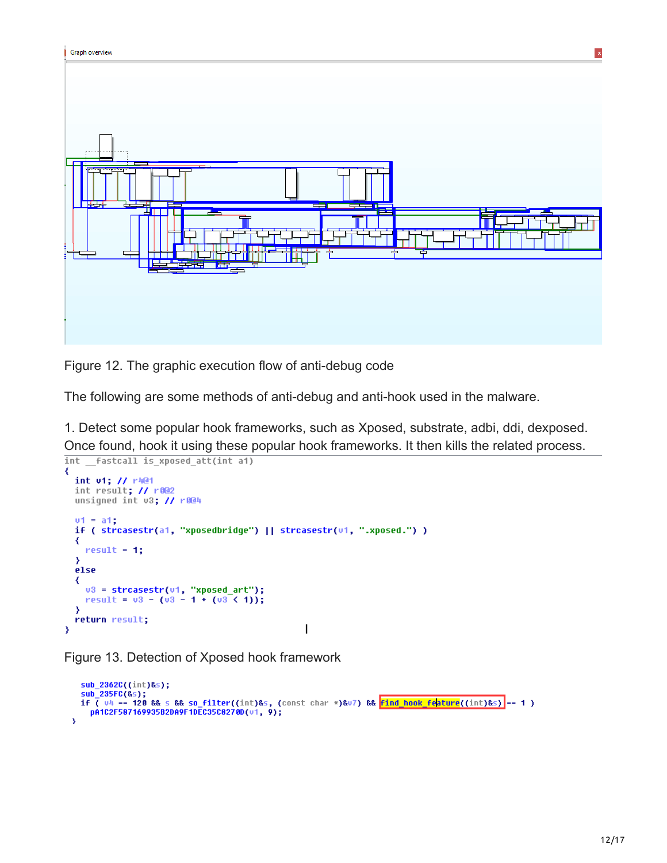

Figure 12. The graphic execution flow of anti-debug code

The following are some methods of anti-debug and anti-hook used in the malware.

1. Detect some popular hook frameworks, such as Xposed, substrate, adbi, ddi, dexposed. Once found, hook it using these popular hook frameworks. It then kills the related process.<br> $\frac{1}{2}$  int  $\frac{1}{2}$  fastcall is xposed\_att(int a1)

```
₹
  int v1; // r4@1
  int result; // r002
  unsigned int v3; // r8@4v1 = a1;if ( strcasestr(a1, "xposedbridge") || strcasestr(u1, ".xposed.") )
  ₹
     result = 1;Y
  else
  ₹
     03 = \text{strcasestr}(01, \text{ "xposed}_\text{art");}<br>result = 03 - (03 - 1 + (03 \le 1));Y
  return result;
                                                                \overline{\phantom{a}}Y
```
Figure 13. Detection of Xposed hook framework

```
sub 2362C((int)&s);
  sub_235FC(&s);<br>if ( v4 == 120 && s && so_filter((int)&s, (const char *)&v7) && <mark>find_hook_feature</mark>((int)&s) == 1 )<br>pA1C2F587169935B2DA9F1DEC35C8270D(v1, 9);
À
```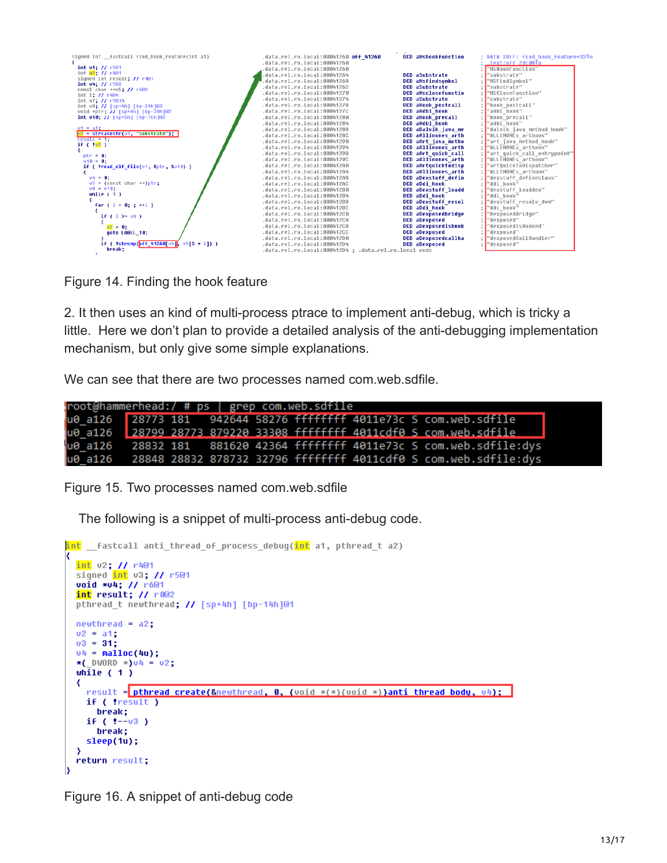| .text:off 23E08To<br>.data.rel.ro.local:00041260<br>int $v1$ : // $r501$<br>"MSHookFunction"<br>data.rel.ro.local:00041260<br>int 02: // r401<br>DCD aSubstrate<br>.data.rel.ro.local:00041264<br>"substrate"<br>signed int result; // r0@1<br>DCD aMsfindsumbol<br>.data.rel.ro.local:00041268<br>"MSFindSumbol"<br>int v4: / / r503<br>.data.rel.ro.local:0004126C<br><b>DCD</b> aSubstrate<br>"substrate"<br>const char ** 05: // r603<br>DCD aMsclosefunctio<br>.data.rel.ro.local:00041270<br>"MSCloseFunction"<br>int i: // r404<br><b>DCD</b> aSubstrate<br>"substrate"<br>.data.rel.ro.local:00041274<br>int v7; // r5@14<br>.data.rel.ro.local:00041278<br>DCD aHook postcall<br>"hook postcall"<br>int v8; // [sp+4h] [bp-24h]@3<br>.data.rel.ro.local:0004127C<br>DCD aAdbi hook<br>"adbi_hook"<br>void *ptr; // [sp+8h] [bp-20h]@2<br>DCD aHook precall<br>"hook precall"<br>int $v10$ ; // [sp+Ch] [bp-1Ch]@2<br>.data.rel.ro.local:00041280<br>DCD aAdbi hook<br>"adbi hook"<br>.data.rel.ro.local:00041284<br>$v1 = a1$ :<br>DCD aDaluik java me<br>"dalvik java method hook"<br>.data.rel.ro.local:00041288<br>u2 - strcasestr(a1, "substrate");<br>DCD aAllinones arth<br>"ALLINONEs arthook"<br>.data.rel.ro.local:0004128C<br>$result = 11$<br>DCD aArt_java_metho<br>.data.rel.ro.local:00041290<br>"art java method hook"<br>if ( $ u2 $ )<br>DCD aAllinones arth<br>"ALLINONEs arthook"<br>.data.rel.ro.local:00041294<br>DCD aArt quick call<br>.data.rel.ro.local:00041298<br>"art quick call entrupoint"<br>$ptr = 0:$<br>DCD aAllinones arth<br>"ALLINONEs arthook"<br>.data.rel.ro.local:0004129C<br>$v10 = 0$ :<br>DCD aArtquicktodisp<br>.data.rel.ro.local:000412A0<br>"artQuickToDispatcher"<br>if ( !read elf file(u1, &ptr, &u10) )<br>DCD aAllinones arth<br>"ALLINONEs arthook"<br>.data.rel.ro.local:000412A4<br>DCD aDexstuff defin<br>"dexstuff defineclass"<br>$04 = 01$<br>.data.rel.ro.local:000412A8<br>$v5 =$ (const char **)ptr:<br>"ddi hook"<br>DCD aDdi hook<br>.data.rel.ro.local:000412AC<br>$v8 - v10$ :<br>.data.rel.ro.local:000412B0<br>DCD aDexstuff loadd<br>"dexstuff loaddex"<br>while $(1)$<br>DCD aDdi_hook<br>"ddi hook"<br>.data.rel.ro.local:000412B4<br>DCD aDexstuff resol<br>"dexstuff resolv dvm"<br>.data.rel.ro.local:000412B8<br>for $(i = 0; j \leftrightarrow i)$<br>"ddi hook"<br>DCD aDdi hook<br>.data.rel.ro.local:000412BC<br>DCD aDexposedbridge<br>"DexposedBridge"<br>.data.rel.ro.local:000412C0<br>if ( $i > = 08$ )<br>.data.rel.ro.local:000412C4<br><b>DCD</b> aDexposed<br>"dexposed"<br>DCD aDexposedishook<br>.data.rel.ro.local:000412C8<br>"dexposedIsHooked"<br>$02 - 01$<br><b>DCD</b> aDexposed<br>"dexposed"<br>.data.rel.ro.local:000412CC<br>goto LABEL 10;<br>DCD aDexposedcallha<br>"dexposedCallHandler"<br>.data.rel.ro.local:000412D0<br>if ( !strcmp(off 41260[ $\nu$ 4], $\nu$ 5[3 * i]) )<br>.data.rel.ro.local:000412D4<br><b>DCD</b> aDexposed<br>"dexposed" | signed int fastcall find hook feature(int a1) | .data.rel.ro.local:00041260 off 41260                 | DCD aMshookfunction | ; DATA XREF: find hook feature+32To |
|-----------------------------------------------------------------------------------------------------------------------------------------------------------------------------------------------------------------------------------------------------------------------------------------------------------------------------------------------------------------------------------------------------------------------------------------------------------------------------------------------------------------------------------------------------------------------------------------------------------------------------------------------------------------------------------------------------------------------------------------------------------------------------------------------------------------------------------------------------------------------------------------------------------------------------------------------------------------------------------------------------------------------------------------------------------------------------------------------------------------------------------------------------------------------------------------------------------------------------------------------------------------------------------------------------------------------------------------------------------------------------------------------------------------------------------------------------------------------------------------------------------------------------------------------------------------------------------------------------------------------------------------------------------------------------------------------------------------------------------------------------------------------------------------------------------------------------------------------------------------------------------------------------------------------------------------------------------------------------------------------------------------------------------------------------------------------------------------------------------------------------------------------------------------------------------------------------------------------------------------------------------------------------------------------------------------------------------------------------------------------------------------------------------------------------------------------------------------------------------------------------------------------------------------------------------------------------------------------------------------------------------------------------------------------------------------------------------------------------------------------------------------------------------------------------------------------------------------------------------------------------------------------------------------------------------------------------------------------|-----------------------------------------------|-------------------------------------------------------|---------------------|-------------------------------------|
|                                                                                                                                                                                                                                                                                                                                                                                                                                                                                                                                                                                                                                                                                                                                                                                                                                                                                                                                                                                                                                                                                                                                                                                                                                                                                                                                                                                                                                                                                                                                                                                                                                                                                                                                                                                                                                                                                                                                                                                                                                                                                                                                                                                                                                                                                                                                                                                                                                                                                                                                                                                                                                                                                                                                                                                                                                                                                                                                                                       |                                               |                                                       |                     |                                     |
|                                                                                                                                                                                                                                                                                                                                                                                                                                                                                                                                                                                                                                                                                                                                                                                                                                                                                                                                                                                                                                                                                                                                                                                                                                                                                                                                                                                                                                                                                                                                                                                                                                                                                                                                                                                                                                                                                                                                                                                                                                                                                                                                                                                                                                                                                                                                                                                                                                                                                                                                                                                                                                                                                                                                                                                                                                                                                                                                                                       |                                               |                                                       |                     |                                     |
|                                                                                                                                                                                                                                                                                                                                                                                                                                                                                                                                                                                                                                                                                                                                                                                                                                                                                                                                                                                                                                                                                                                                                                                                                                                                                                                                                                                                                                                                                                                                                                                                                                                                                                                                                                                                                                                                                                                                                                                                                                                                                                                                                                                                                                                                                                                                                                                                                                                                                                                                                                                                                                                                                                                                                                                                                                                                                                                                                                       |                                               |                                                       |                     |                                     |
|                                                                                                                                                                                                                                                                                                                                                                                                                                                                                                                                                                                                                                                                                                                                                                                                                                                                                                                                                                                                                                                                                                                                                                                                                                                                                                                                                                                                                                                                                                                                                                                                                                                                                                                                                                                                                                                                                                                                                                                                                                                                                                                                                                                                                                                                                                                                                                                                                                                                                                                                                                                                                                                                                                                                                                                                                                                                                                                                                                       |                                               |                                                       |                     |                                     |
|                                                                                                                                                                                                                                                                                                                                                                                                                                                                                                                                                                                                                                                                                                                                                                                                                                                                                                                                                                                                                                                                                                                                                                                                                                                                                                                                                                                                                                                                                                                                                                                                                                                                                                                                                                                                                                                                                                                                                                                                                                                                                                                                                                                                                                                                                                                                                                                                                                                                                                                                                                                                                                                                                                                                                                                                                                                                                                                                                                       |                                               |                                                       |                     |                                     |
|                                                                                                                                                                                                                                                                                                                                                                                                                                                                                                                                                                                                                                                                                                                                                                                                                                                                                                                                                                                                                                                                                                                                                                                                                                                                                                                                                                                                                                                                                                                                                                                                                                                                                                                                                                                                                                                                                                                                                                                                                                                                                                                                                                                                                                                                                                                                                                                                                                                                                                                                                                                                                                                                                                                                                                                                                                                                                                                                                                       |                                               |                                                       |                     |                                     |
|                                                                                                                                                                                                                                                                                                                                                                                                                                                                                                                                                                                                                                                                                                                                                                                                                                                                                                                                                                                                                                                                                                                                                                                                                                                                                                                                                                                                                                                                                                                                                                                                                                                                                                                                                                                                                                                                                                                                                                                                                                                                                                                                                                                                                                                                                                                                                                                                                                                                                                                                                                                                                                                                                                                                                                                                                                                                                                                                                                       |                                               |                                                       |                     |                                     |
|                                                                                                                                                                                                                                                                                                                                                                                                                                                                                                                                                                                                                                                                                                                                                                                                                                                                                                                                                                                                                                                                                                                                                                                                                                                                                                                                                                                                                                                                                                                                                                                                                                                                                                                                                                                                                                                                                                                                                                                                                                                                                                                                                                                                                                                                                                                                                                                                                                                                                                                                                                                                                                                                                                                                                                                                                                                                                                                                                                       |                                               |                                                       |                     |                                     |
|                                                                                                                                                                                                                                                                                                                                                                                                                                                                                                                                                                                                                                                                                                                                                                                                                                                                                                                                                                                                                                                                                                                                                                                                                                                                                                                                                                                                                                                                                                                                                                                                                                                                                                                                                                                                                                                                                                                                                                                                                                                                                                                                                                                                                                                                                                                                                                                                                                                                                                                                                                                                                                                                                                                                                                                                                                                                                                                                                                       |                                               |                                                       |                     |                                     |
|                                                                                                                                                                                                                                                                                                                                                                                                                                                                                                                                                                                                                                                                                                                                                                                                                                                                                                                                                                                                                                                                                                                                                                                                                                                                                                                                                                                                                                                                                                                                                                                                                                                                                                                                                                                                                                                                                                                                                                                                                                                                                                                                                                                                                                                                                                                                                                                                                                                                                                                                                                                                                                                                                                                                                                                                                                                                                                                                                                       |                                               |                                                       |                     |                                     |
|                                                                                                                                                                                                                                                                                                                                                                                                                                                                                                                                                                                                                                                                                                                                                                                                                                                                                                                                                                                                                                                                                                                                                                                                                                                                                                                                                                                                                                                                                                                                                                                                                                                                                                                                                                                                                                                                                                                                                                                                                                                                                                                                                                                                                                                                                                                                                                                                                                                                                                                                                                                                                                                                                                                                                                                                                                                                                                                                                                       |                                               |                                                       |                     |                                     |
|                                                                                                                                                                                                                                                                                                                                                                                                                                                                                                                                                                                                                                                                                                                                                                                                                                                                                                                                                                                                                                                                                                                                                                                                                                                                                                                                                                                                                                                                                                                                                                                                                                                                                                                                                                                                                                                                                                                                                                                                                                                                                                                                                                                                                                                                                                                                                                                                                                                                                                                                                                                                                                                                                                                                                                                                                                                                                                                                                                       |                                               |                                                       |                     |                                     |
|                                                                                                                                                                                                                                                                                                                                                                                                                                                                                                                                                                                                                                                                                                                                                                                                                                                                                                                                                                                                                                                                                                                                                                                                                                                                                                                                                                                                                                                                                                                                                                                                                                                                                                                                                                                                                                                                                                                                                                                                                                                                                                                                                                                                                                                                                                                                                                                                                                                                                                                                                                                                                                                                                                                                                                                                                                                                                                                                                                       |                                               |                                                       |                     |                                     |
|                                                                                                                                                                                                                                                                                                                                                                                                                                                                                                                                                                                                                                                                                                                                                                                                                                                                                                                                                                                                                                                                                                                                                                                                                                                                                                                                                                                                                                                                                                                                                                                                                                                                                                                                                                                                                                                                                                                                                                                                                                                                                                                                                                                                                                                                                                                                                                                                                                                                                                                                                                                                                                                                                                                                                                                                                                                                                                                                                                       |                                               |                                                       |                     |                                     |
|                                                                                                                                                                                                                                                                                                                                                                                                                                                                                                                                                                                                                                                                                                                                                                                                                                                                                                                                                                                                                                                                                                                                                                                                                                                                                                                                                                                                                                                                                                                                                                                                                                                                                                                                                                                                                                                                                                                                                                                                                                                                                                                                                                                                                                                                                                                                                                                                                                                                                                                                                                                                                                                                                                                                                                                                                                                                                                                                                                       |                                               |                                                       |                     |                                     |
|                                                                                                                                                                                                                                                                                                                                                                                                                                                                                                                                                                                                                                                                                                                                                                                                                                                                                                                                                                                                                                                                                                                                                                                                                                                                                                                                                                                                                                                                                                                                                                                                                                                                                                                                                                                                                                                                                                                                                                                                                                                                                                                                                                                                                                                                                                                                                                                                                                                                                                                                                                                                                                                                                                                                                                                                                                                                                                                                                                       |                                               |                                                       |                     |                                     |
|                                                                                                                                                                                                                                                                                                                                                                                                                                                                                                                                                                                                                                                                                                                                                                                                                                                                                                                                                                                                                                                                                                                                                                                                                                                                                                                                                                                                                                                                                                                                                                                                                                                                                                                                                                                                                                                                                                                                                                                                                                                                                                                                                                                                                                                                                                                                                                                                                                                                                                                                                                                                                                                                                                                                                                                                                                                                                                                                                                       |                                               |                                                       |                     |                                     |
|                                                                                                                                                                                                                                                                                                                                                                                                                                                                                                                                                                                                                                                                                                                                                                                                                                                                                                                                                                                                                                                                                                                                                                                                                                                                                                                                                                                                                                                                                                                                                                                                                                                                                                                                                                                                                                                                                                                                                                                                                                                                                                                                                                                                                                                                                                                                                                                                                                                                                                                                                                                                                                                                                                                                                                                                                                                                                                                                                                       |                                               |                                                       |                     |                                     |
|                                                                                                                                                                                                                                                                                                                                                                                                                                                                                                                                                                                                                                                                                                                                                                                                                                                                                                                                                                                                                                                                                                                                                                                                                                                                                                                                                                                                                                                                                                                                                                                                                                                                                                                                                                                                                                                                                                                                                                                                                                                                                                                                                                                                                                                                                                                                                                                                                                                                                                                                                                                                                                                                                                                                                                                                                                                                                                                                                                       |                                               |                                                       |                     |                                     |
|                                                                                                                                                                                                                                                                                                                                                                                                                                                                                                                                                                                                                                                                                                                                                                                                                                                                                                                                                                                                                                                                                                                                                                                                                                                                                                                                                                                                                                                                                                                                                                                                                                                                                                                                                                                                                                                                                                                                                                                                                                                                                                                                                                                                                                                                                                                                                                                                                                                                                                                                                                                                                                                                                                                                                                                                                                                                                                                                                                       |                                               |                                                       |                     |                                     |
|                                                                                                                                                                                                                                                                                                                                                                                                                                                                                                                                                                                                                                                                                                                                                                                                                                                                                                                                                                                                                                                                                                                                                                                                                                                                                                                                                                                                                                                                                                                                                                                                                                                                                                                                                                                                                                                                                                                                                                                                                                                                                                                                                                                                                                                                                                                                                                                                                                                                                                                                                                                                                                                                                                                                                                                                                                                                                                                                                                       |                                               |                                                       |                     |                                     |
|                                                                                                                                                                                                                                                                                                                                                                                                                                                                                                                                                                                                                                                                                                                                                                                                                                                                                                                                                                                                                                                                                                                                                                                                                                                                                                                                                                                                                                                                                                                                                                                                                                                                                                                                                                                                                                                                                                                                                                                                                                                                                                                                                                                                                                                                                                                                                                                                                                                                                                                                                                                                                                                                                                                                                                                                                                                                                                                                                                       |                                               |                                                       |                     |                                     |
|                                                                                                                                                                                                                                                                                                                                                                                                                                                                                                                                                                                                                                                                                                                                                                                                                                                                                                                                                                                                                                                                                                                                                                                                                                                                                                                                                                                                                                                                                                                                                                                                                                                                                                                                                                                                                                                                                                                                                                                                                                                                                                                                                                                                                                                                                                                                                                                                                                                                                                                                                                                                                                                                                                                                                                                                                                                                                                                                                                       |                                               |                                                       |                     |                                     |
|                                                                                                                                                                                                                                                                                                                                                                                                                                                                                                                                                                                                                                                                                                                                                                                                                                                                                                                                                                                                                                                                                                                                                                                                                                                                                                                                                                                                                                                                                                                                                                                                                                                                                                                                                                                                                                                                                                                                                                                                                                                                                                                                                                                                                                                                                                                                                                                                                                                                                                                                                                                                                                                                                                                                                                                                                                                                                                                                                                       |                                               |                                                       |                     |                                     |
|                                                                                                                                                                                                                                                                                                                                                                                                                                                                                                                                                                                                                                                                                                                                                                                                                                                                                                                                                                                                                                                                                                                                                                                                                                                                                                                                                                                                                                                                                                                                                                                                                                                                                                                                                                                                                                                                                                                                                                                                                                                                                                                                                                                                                                                                                                                                                                                                                                                                                                                                                                                                                                                                                                                                                                                                                                                                                                                                                                       |                                               |                                                       |                     |                                     |
|                                                                                                                                                                                                                                                                                                                                                                                                                                                                                                                                                                                                                                                                                                                                                                                                                                                                                                                                                                                                                                                                                                                                                                                                                                                                                                                                                                                                                                                                                                                                                                                                                                                                                                                                                                                                                                                                                                                                                                                                                                                                                                                                                                                                                                                                                                                                                                                                                                                                                                                                                                                                                                                                                                                                                                                                                                                                                                                                                                       |                                               |                                                       |                     |                                     |
|                                                                                                                                                                                                                                                                                                                                                                                                                                                                                                                                                                                                                                                                                                                                                                                                                                                                                                                                                                                                                                                                                                                                                                                                                                                                                                                                                                                                                                                                                                                                                                                                                                                                                                                                                                                                                                                                                                                                                                                                                                                                                                                                                                                                                                                                                                                                                                                                                                                                                                                                                                                                                                                                                                                                                                                                                                                                                                                                                                       |                                               |                                                       |                     |                                     |
|                                                                                                                                                                                                                                                                                                                                                                                                                                                                                                                                                                                                                                                                                                                                                                                                                                                                                                                                                                                                                                                                                                                                                                                                                                                                                                                                                                                                                                                                                                                                                                                                                                                                                                                                                                                                                                                                                                                                                                                                                                                                                                                                                                                                                                                                                                                                                                                                                                                                                                                                                                                                                                                                                                                                                                                                                                                                                                                                                                       |                                               |                                                       |                     |                                     |
|                                                                                                                                                                                                                                                                                                                                                                                                                                                                                                                                                                                                                                                                                                                                                                                                                                                                                                                                                                                                                                                                                                                                                                                                                                                                                                                                                                                                                                                                                                                                                                                                                                                                                                                                                                                                                                                                                                                                                                                                                                                                                                                                                                                                                                                                                                                                                                                                                                                                                                                                                                                                                                                                                                                                                                                                                                                                                                                                                                       |                                               |                                                       |                     |                                     |
|                                                                                                                                                                                                                                                                                                                                                                                                                                                                                                                                                                                                                                                                                                                                                                                                                                                                                                                                                                                                                                                                                                                                                                                                                                                                                                                                                                                                                                                                                                                                                                                                                                                                                                                                                                                                                                                                                                                                                                                                                                                                                                                                                                                                                                                                                                                                                                                                                                                                                                                                                                                                                                                                                                                                                                                                                                                                                                                                                                       |                                               |                                                       |                     |                                     |
|                                                                                                                                                                                                                                                                                                                                                                                                                                                                                                                                                                                                                                                                                                                                                                                                                                                                                                                                                                                                                                                                                                                                                                                                                                                                                                                                                                                                                                                                                                                                                                                                                                                                                                                                                                                                                                                                                                                                                                                                                                                                                                                                                                                                                                                                                                                                                                                                                                                                                                                                                                                                                                                                                                                                                                                                                                                                                                                                                                       |                                               |                                                       |                     |                                     |
|                                                                                                                                                                                                                                                                                                                                                                                                                                                                                                                                                                                                                                                                                                                                                                                                                                                                                                                                                                                                                                                                                                                                                                                                                                                                                                                                                                                                                                                                                                                                                                                                                                                                                                                                                                                                                                                                                                                                                                                                                                                                                                                                                                                                                                                                                                                                                                                                                                                                                                                                                                                                                                                                                                                                                                                                                                                                                                                                                                       |                                               |                                                       |                     |                                     |
|                                                                                                                                                                                                                                                                                                                                                                                                                                                                                                                                                                                                                                                                                                                                                                                                                                                                                                                                                                                                                                                                                                                                                                                                                                                                                                                                                                                                                                                                                                                                                                                                                                                                                                                                                                                                                                                                                                                                                                                                                                                                                                                                                                                                                                                                                                                                                                                                                                                                                                                                                                                                                                                                                                                                                                                                                                                                                                                                                                       | break;                                        | .data.rel.ro.local:000412D4 : .data.rel.ro.local ends |                     |                                     |

Figure 14. Finding the hook feature

2. It then uses an kind of multi-process ptrace to implement anti-debug, which is tricky a little. Here we don't plan to provide a detailed analysis of the anti-debugging implementation mechanism, but only give some simple explanations.

We can see that there are two processes named com.web.sdfile.

| root@hammerhead:/ # ps   grep com.web.sdfile |  |  |  |                                                                         |
|----------------------------------------------|--|--|--|-------------------------------------------------------------------------|
|                                              |  |  |  | u0 a126 28773 181 942644 58276 ffffffff 4011e73c S com.web.sdfile       |
|                                              |  |  |  | u0 a126 28799 28773 879220 33308 ffffffff 4011cdf0 S com.web.sdfile     |
|                                              |  |  |  | u0 a126 28832 181 881620 42364 ffffffff 4011e73c S com.web.sdfile:dys   |
|                                              |  |  |  | u0 a126 28848 28832 878732 32796 ffffffff 4011cdf0 S com.web.sdfile:dys |

Figure 15. Two processes named com.web.sdfile

The following is a snippet of multi-process anti-debug code.

```
<mark>int</mark> _fastcall anti_thread_of_process_debug(<mark>int</mark> a1, pthread_t a2)
  <mark>int</mark> v2; // r4@1<br>signed <mark>int</mark> v3; // r5@1
  void *v4; // r6@1
  int result; // r002
  pthread_t newthread; // [sp+4h] [bp-14h]@1
  newthread = a2;v2 = a1;
  03 = 31;
  v4 = \text{malloc}(4u);*(_DWORD *)u4 = u2;<br>while ( 1 )
  ₹
     result = pthread create(&newthread, 0, (void *(*)(void *))anti thread body, v4);
     if ( !result )
       break;
     if (+-03)break;
     sleep(1u);return result;
١ş
```
Figure 16. A snippet of anti-debug code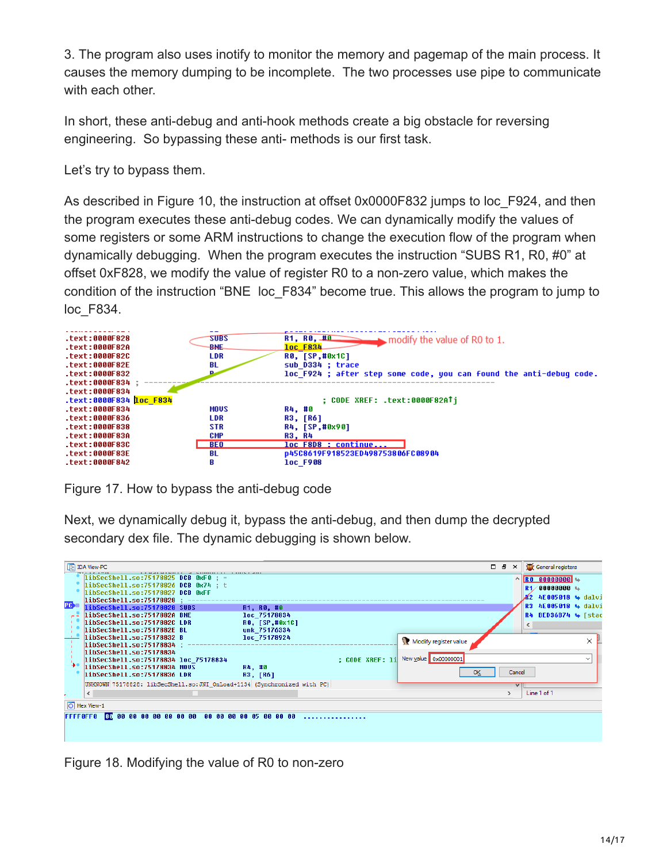3. The program also uses inotify to monitor the memory and pagemap of the main process. It causes the memory dumping to be incomplete. The two processes use pipe to communicate with each other.

In short, these anti-debug and anti-hook methods create a big obstacle for reversing engineering. So bypassing these anti- methods is our first task.

Let's try to bypass them.

As described in Figure 10, the instruction at offset 0x0000F832 jumps to loc\_F924, and then the program executes these anti-debug codes. We can dynamically modify the values of some registers or some ARM instructions to change the execution flow of the program when dynamically debugging. When the program executes the instruction "SUBS R1, R0, #0" at offset 0xF828, we modify the value of register R0 to a non-zero value, which makes the condition of the instruction "BNE loc\_F834" become true. This allows the program to jump to loc\_F834.



Figure 17. How to bypass the anti-debug code

Next, we dynamically debug it, bypass the anti-debug, and then dump the decrypted secondary dex file. The dynamic debugging is shown below.

| <b>Ⅰ IDA View-PC</b>                                                                                                                                                                                                                                                                                                                                    |    | $\Box$ $\Box$ $\Box$ |        | General registers                                                                                                                     |                          |
|---------------------------------------------------------------------------------------------------------------------------------------------------------------------------------------------------------------------------------------------------------------------------------------------------------------------------------------------------------|----|----------------------|--------|---------------------------------------------------------------------------------------------------------------------------------------|--------------------------|
| libSecShell.so:75178825 DCB 0xF0 ; =<br>libSecShell.so:75178826 DCB 0x74 : t<br>libSecShell.so:75178827 DCB 0xFF<br>libSecShell.so:75178828 ;<br><b>PG-</b><br>libSecShell.so:75178828 SUBS<br>R1, R0, #0<br>libSecShell.so:7517882A BNE<br>loc 75178834<br>libSecShell.so:7517882C LDR<br>R0, [SP,#0x1C]<br>libSecShell.so:7517882E BL<br>unk 75176334 |    |                      |        | $\wedge$ RO 00000000 $\leftrightarrow$<br>$R1/00000000$ +<br><b>R2 4E005018 → dalvi</b><br>R3 4E005018 4 dalui<br>R4 BED36B74 4 [stac |                          |
| - libSecShell.so:75178832 B<br>loc 75178924<br>Modify register value<br>libSecShell.so:75178834 :<br>libSecShell.so:75178834<br>: CODE XREF: 1i New value 0x00000001<br>libSecShell.so:75178834 loc 75178834<br>libSecShell.so:75178834 MOUS<br>R4, #0<br>libSecShell.so:75178836 LDR<br>R3, [R6]                                                       | ок |                      | Cancel |                                                                                                                                       | $\times$<br>$\checkmark$ |
| UNKNOWN 75178828: libSecShell.so: JNI OnLoad+1134 (Synchronized with PC)<br>≺                                                                                                                                                                                                                                                                           |    |                      |        | Line 1 of 1                                                                                                                           |                          |
| <b>O</b> Hex View-1<br><b>FFFF0FF0</b>                                                                                                                                                                                                                                                                                                                  |    |                      |        |                                                                                                                                       |                          |
|                                                                                                                                                                                                                                                                                                                                                         |    |                      |        |                                                                                                                                       |                          |

Figure 18. Modifying the value of R0 to non-zero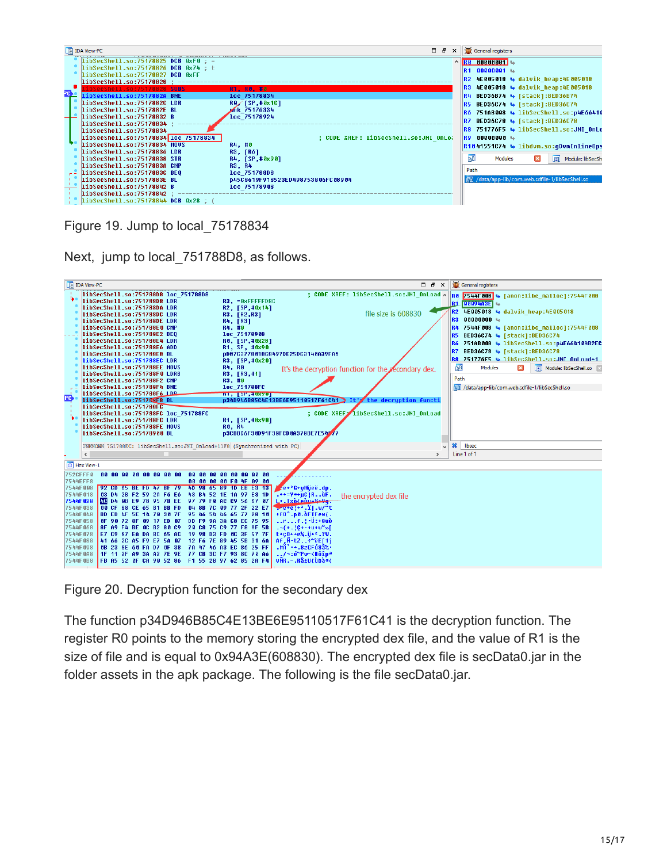

Figure 19. Jump to local\_75178834

Next, jump to local 751788D8, as follows.



Figure 20. Decryption function for the secondary dex

The function p34D946B85C4E13BE6E95110517F61C41 is the decryption function. The register R0 points to the memory storing the encrypted dex file, and the value of R1 is the size of file and is equal to 0x94A3E(608830). The encrypted dex file is secData0.jar in the folder assets in the apk package. The following is the file secData0.jar.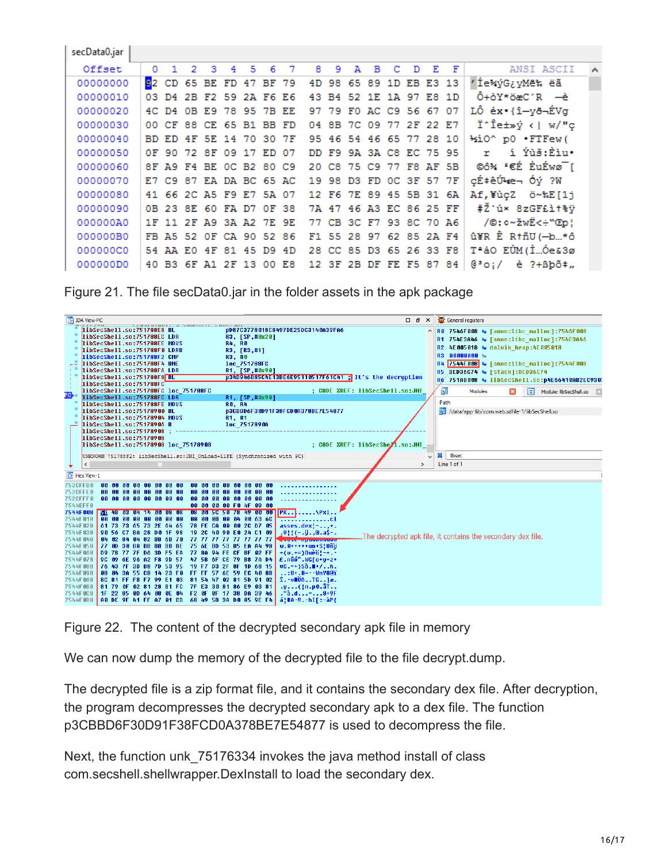| secData0.jar |                         |                         |   |   |   |   |   |   |   |   |                         |   |   |    |                         |                                              |
|--------------|-------------------------|-------------------------|---|---|---|---|---|---|---|---|-------------------------|---|---|----|-------------------------|----------------------------------------------|
| Offset       | $\Omega$                | 2                       | з | 4 | 5 | 6 | 7 | я | 9 | А | в                       | с | D | F. | F                       | ANSI ASCII<br>$\boldsymbol{\wedge}$          |
| 00000000     | 92 CD 65 BE FD 47 BF 79 |                         |   |   |   |   |   |   |   |   | 4D 98 65 89 1D EB E3 13 |   |   |    |                         | ′Íe*ýG¿yMë‱ ëã                               |
| 00000010     |                         | 03 D4 2B F2 59 2A F6 E6 |   |   |   |   |   |   |   |   | 43 B4 52 1E 1A 97 E8 1D |   |   |    |                         | $0 + \delta Y * \delta x C' R$ $-\dot{e}$    |
| 00000020     |                         | 4C D4 0B E9 78 95 7B EE |   |   |   |   |   |   |   |   | 97 79 FO AC C9 56 67 07 |   |   |    |                         | LÔ éx•{î-yð¬ÉVg                              |
| 00000030     | 00 CF 88 CE 65 B1 BB FD |                         |   |   |   |   |   |   |   |   | 04 8B 7C 09 77 2F 22 E7 |   |   |    |                         | Ï^Îe±»ý <  w/"ç                              |
| 00000040     | BD ED 4F 5E 14 70 30 7F |                         |   |   |   |   |   |   |   |   | 95 46 54 46 65 77 28 10 |   |   |    |                         | 1≤iO^ p0 .FTFew(                             |
| 00000050     |                         | OF 90 72 8F 09 17 ED 07 |   |   |   |   |   |   |   |   | DD F9 9A 3A C8 EC 75 95 |   |   |    |                         | í Ýùš:Èìu·                                   |
| 00000060     | 8F A9 F4 BE OC B2 80 C9 |                         |   |   |   |   |   |   |   |   |                         |   |   |    | 20 C8 75 C9 77 F8 AF 5B | ©ô¾ "€É ÈuÉwø¯[                              |
| 00000070     | E7 C9 87 EA DA BC 65 AC |                         |   |   |   |   |   |   |   |   | 19 98 D3 FD OC 3F 57 7F |   |   |    |                         | cɇêÚke⊣ Óý ?W                                |
| 00000080     | 41 66 2C A5 F9 E7 5A 07 |                         |   |   |   |   |   |   |   |   | 12 F6 7E 89 45 5B 31 6A |   |   |    |                         | Af, ¥ùçZ ö~%E[1j                             |
| 00000090     |                         | 0B 23 8E 60 FA D7 0F 38 |   |   |   |   |   |   |   |   | 7A 47 46 A3 EC 86 25 FF |   |   |    |                         | #Ž`ú× 8zGF£ì†%ÿ                              |
| 000000A0     | 1F 11 2F A9 3A A2 7E 9E |                         |   |   |   |   |   |   |   |   | 77 CB 3C F7 93 8C 70 A6 |   |   |    |                         | /©: ¢~žwË<÷"Œp¦                              |
| 000000B0     |                         | FB A5 52 OF CA 90 52 86 |   |   |   |   |   |   |   |   | F1 55 28 97 62 85 2A F4 |   |   |    |                         | û¥R Ê R†ñU (-b*ô                             |
| 000000C0     |                         | 54 AA EO 4F 81 45 D9 4D |   |   |   |   |   |   |   |   | 28 CC 85 D3 65 26 33 F8 |   |   |    |                         | T <sup>a</sup> àO EÙM (ÌÓe&3ø                |
| 000000D0     |                         | 40 B3 6F A1 2F 13 00 E8 |   |   |   |   |   |   |   |   |                         |   |   |    | 12 3F 2B DF FE F5 87 84 | $e^s$ o i /<br>$\dot{e}$ ?+ $Bb\tilde{o}$ ‡" |

Figure 21. The file secData0.jar in the folder assets in the apk package



Figure 22. The content of the decrypted secondary apk file in memory

We can now dump the memory of the decrypted file to the file decrypt.dump.

The decrypted file is a zip format file, and it contains the secondary dex file. After decryption, the program decompresses the decrypted secondary apk to a dex file. The function p3CBBD6F30D91F38FCD0A378BE7E54877 is used to decompress the file.

Next, the function unk\_75176334 invokes the java method install of class com.secshell.shellwrapper.DexInstall to load the secondary dex.